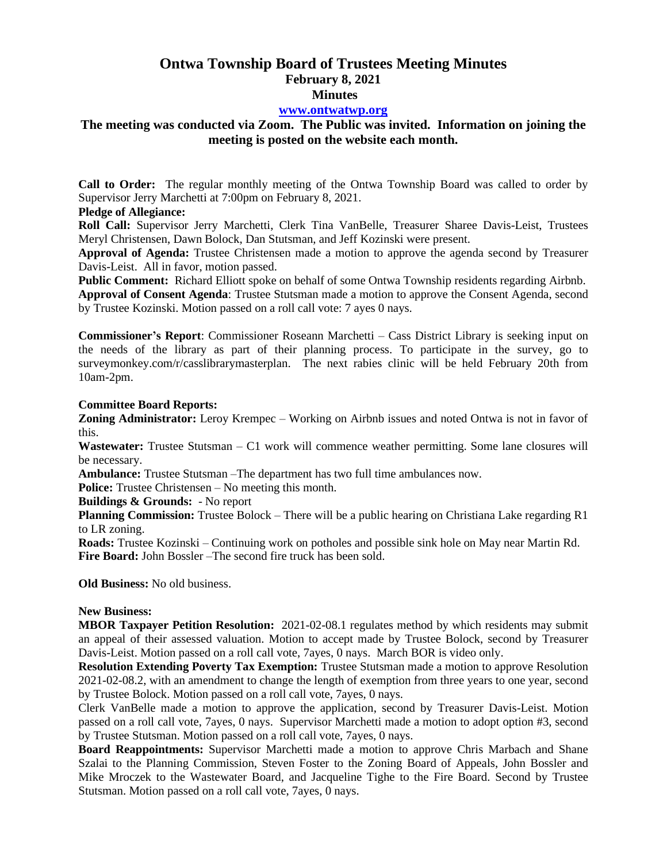# **Ontwa Township Board of Trustees Meeting Minutes February 8, 2021 Minutes**

### **[www.ontwatwp.org](http://www.ontwatwp.org/)**

## **The meeting was conducted via Zoom. The Public was invited. Information on joining the meeting is posted on the website each month.**

**Call to Order:** The regular monthly meeting of the Ontwa Township Board was called to order by Supervisor Jerry Marchetti at 7:00pm on February 8, 2021.

#### **Pledge of Allegiance:**

**Roll Call:** Supervisor Jerry Marchetti, Clerk Tina VanBelle, Treasurer Sharee Davis-Leist, Trustees Meryl Christensen, Dawn Bolock, Dan Stutsman, and Jeff Kozinski were present.

**Approval of Agenda:** Trustee Christensen made a motion to approve the agenda second by Treasurer Davis-Leist. All in favor, motion passed.

**Public Comment:** Richard Elliott spoke on behalf of some Ontwa Township residents regarding Airbnb.

**Approval of Consent Agenda**: Trustee Stutsman made a motion to approve the Consent Agenda, second by Trustee Kozinski. Motion passed on a roll call vote: 7 ayes 0 nays.

**Commissioner's Report**: Commissioner Roseann Marchetti – Cass District Library is seeking input on the needs of the library as part of their planning process. To participate in the survey, go to surveymonkey.com/r/casslibrarymasterplan. The next rabies clinic will be held February 20th from 10am-2pm.

#### **Committee Board Reports:**

**Zoning Administrator:** Leroy Krempec – Working on Airbnb issues and noted Ontwa is not in favor of this.

**Wastewater:** Trustee Stutsman – C1 work will commence weather permitting. Some lane closures will be necessary.

**Ambulance:** Trustee Stutsman –The department has two full time ambulances now.

**Police:** Trustee Christensen – No meeting this month.

**Buildings & Grounds:** - No report

**Planning Commission:** Trustee Bolock – There will be a public hearing on Christiana Lake regarding R1 to LR zoning.

**Roads:** Trustee Kozinski – Continuing work on potholes and possible sink hole on May near Martin Rd. **Fire Board:** John Bossler –The second fire truck has been sold.

**Old Business:** No old business.

## **New Business:**

**MBOR Taxpayer Petition Resolution:** 2021-02-08.1 regulates method by which residents may submit an appeal of their assessed valuation. Motion to accept made by Trustee Bolock, second by Treasurer Davis-Leist. Motion passed on a roll call vote, 7ayes, 0 nays. March BOR is video only.

**Resolution Extending Poverty Tax Exemption:** Trustee Stutsman made a motion to approve Resolution 2021-02-08.2, with an amendment to change the length of exemption from three years to one year, second by Trustee Bolock. Motion passed on a roll call vote, 7ayes, 0 nays.

Clerk VanBelle made a motion to approve the application, second by Treasurer Davis-Leist. Motion passed on a roll call vote, 7ayes, 0 nays. Supervisor Marchetti made a motion to adopt option #3, second by Trustee Stutsman. Motion passed on a roll call vote, 7ayes, 0 nays.

**Board Reappointments:** Supervisor Marchetti made a motion to approve Chris Marbach and Shane Szalai to the Planning Commission, Steven Foster to the Zoning Board of Appeals, John Bossler and Mike Mroczek to the Wastewater Board, and Jacqueline Tighe to the Fire Board. Second by Trustee Stutsman. Motion passed on a roll call vote, 7ayes, 0 nays.